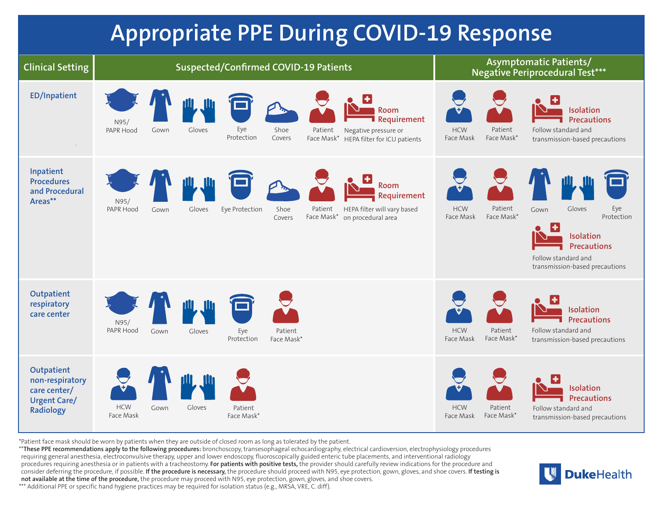## **Appropriate PPE During COVID-19 Response**



\*Patient face mask should be worn by patients when they are outside of closed room as long as tolerated by the patient.

\*\***These PPE recommendations apply to the following procedures:** bronchoscopy, transesophageal echocardiography, electrical cardioversion, electrophysiology procedures requiring general anesthesia, electroconvulsive therapy, upper and lower endoscopy, fluoroscopically guided enteric tube placements, and interventional radiology procedures requiring anesthesia or in patients with a tracheostomy. **For patients with positive tests,** the provider should carefully review indications for the procedure and consider deferring the procedure, if possible. **If the procedure is necessary,** the procedure should proceed with N95, eye protection, gown, gloves, and shoe covers. **If testing is not available at the time of the procedure,** the procedure may proceed with N95, eye protection, gown, gloves, and shoe covers. \*\*\* Additional PPE or specific hand hygiene practices may be required for isolation status (e.g., MRSA, VRE, C. diff).